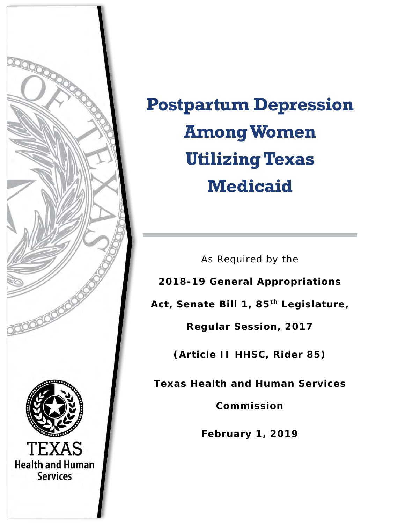

**Postpartum Depression Among Women Utilizing Texas Medicaid**

As Required by the

**2018-19 General Appropriations** 

**Act, Senate Bill 1, 85th Legislature,** 

**Regular Session, 2017**

**(Article II HHSC, Rider 85)**

**Texas Health and Human Services** 

**Commission**

**February 1, 2019**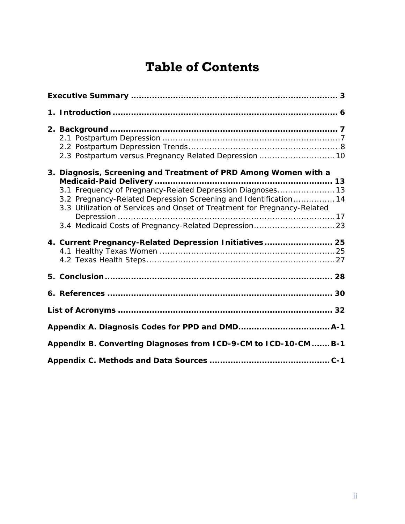# **Table of Contents**

| 2.3 Postpartum versus Pregnancy Related Depression  10                                                                                                                                                                                                                       |  |
|------------------------------------------------------------------------------------------------------------------------------------------------------------------------------------------------------------------------------------------------------------------------------|--|
| 3. Diagnosis, Screening and Treatment of PRD Among Women with a<br>3.1 Frequency of Pregnancy-Related Depression Diagnoses13<br>3.2 Pregnancy-Related Depression Screening and Identification 14<br>3.3 Utilization of Services and Onset of Treatment for Pregnancy-Related |  |
| 3.4 Medicaid Costs of Pregnancy-Related Depression 23                                                                                                                                                                                                                        |  |
| 4. Current Pregnancy-Related Depression Initiatives 25                                                                                                                                                                                                                       |  |
|                                                                                                                                                                                                                                                                              |  |
|                                                                                                                                                                                                                                                                              |  |
|                                                                                                                                                                                                                                                                              |  |
|                                                                                                                                                                                                                                                                              |  |
| Appendix B. Converting Diagnoses from ICD-9-CM to ICD-10-CM  B-1                                                                                                                                                                                                             |  |
|                                                                                                                                                                                                                                                                              |  |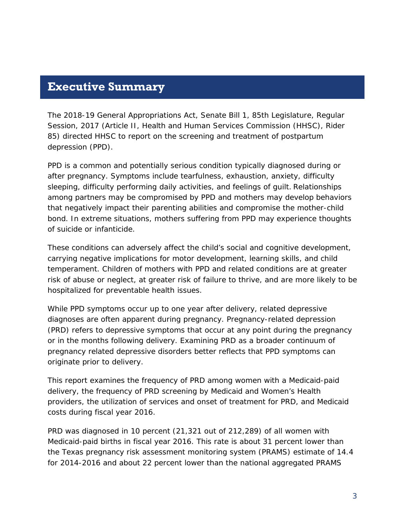# <span id="page-2-0"></span>**Executive Summary**

The 2018-19 General Appropriations Act, Senate Bill 1, 85th Legislature, Regular Session, 2017 (Article II, Health and Human Services Commission (HHSC), Rider 85) directed HHSC to report on the screening and treatment of postpartum depression (PPD).

PPD is a common and potentially serious condition typically diagnosed during or after pregnancy. Symptoms include tearfulness, exhaustion, anxiety, difficulty sleeping, difficulty performing daily activities, and feelings of guilt. Relationships among partners may be compromised by PPD and mothers may develop behaviors that negatively impact their parenting abilities and compromise the mother-child bond. In extreme situations, mothers suffering from PPD may experience thoughts of suicide or infanticide.

These conditions can adversely affect the child's social and cognitive development, carrying negative implications for motor development, learning skills, and child temperament. Children of mothers with PPD and related conditions are at greater risk of abuse or neglect, at greater risk of failure to thrive, and are more likely to be hospitalized for preventable health issues.

While PPD symptoms occur up to one year after delivery, related depressive diagnoses are often apparent during pregnancy. Pregnancy-related depression (PRD) refers to depressive symptoms that occur at any point during the pregnancy or in the months following delivery. Examining PRD as a broader continuum of pregnancy related depressive disorders better reflects that PPD symptoms can originate prior to delivery.

This report examines the frequency of PRD among women with a Medicaid-paid delivery, the frequency of PRD screening by Medicaid and Women's Health providers, the utilization of services and onset of treatment for PRD, and Medicaid costs during fiscal year 2016.

PRD was diagnosed in 10 percent (21,321 out of 212,289) of all women with Medicaid-paid births in fiscal year 2016. This rate is about 31 percent lower than the Texas pregnancy risk assessment monitoring system (PRAMS) estimate of 14.4 for 2014-2016 and about 22 percent lower than the national aggregated PRAMS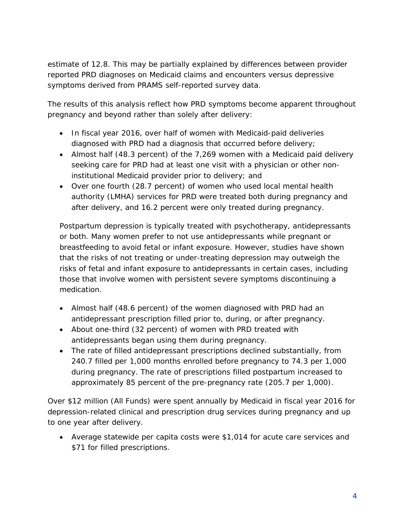estimate of 12.8. This may be partially explained by differences between provider reported PRD diagnoses on Medicaid claims and encounters versus depressive symptoms derived from PRAMS self-reported survey data.

The results of this analysis reflect how PRD symptoms become apparent throughout pregnancy and beyond rather than solely after delivery:

- In fiscal year 2016, over half of women with Medicaid-paid deliveries diagnosed with PRD had a diagnosis that occurred before delivery;
- Almost half (48.3 percent) of the 7,269 women with a Medicaid paid delivery seeking care for PRD had at least one visit with a physician or other noninstitutional Medicaid provider prior to delivery; and
- Over one fourth (28.7 percent) of women who used local mental health authority (LMHA) services for PRD were treated both during pregnancy and after delivery, and 16.2 percent were only treated during pregnancy.

Postpartum depression is typically treated with psychotherapy, antidepressants or both. Many women prefer to not use antidepressants while pregnant or breastfeeding to avoid fetal or infant exposure. However, studies have shown that the risks of not treating or under-treating depression may outweigh the risks of fetal and infant exposure to antidepressants in certain cases, including those that involve women with persistent severe symptoms discontinuing a medication.

- Almost half (48.6 percent) of the women diagnosed with PRD had an antidepressant prescription filled prior to, during, or after pregnancy.
- About one-third (32 percent) of women with PRD treated with antidepressants began using them during pregnancy.
- The rate of filled antidepressant prescriptions declined substantially, from 240.7 filled per 1,000 months enrolled before pregnancy to 74.3 per 1,000 during pregnancy. The rate of prescriptions filled postpartum increased to approximately 85 percent of the pre-pregnancy rate (205.7 per 1,000).

Over \$12 million (All Funds) were spent annually by Medicaid in fiscal year 2016 for depression-related clinical and prescription drug services during pregnancy and up to one year after delivery.

• Average statewide per capita costs were \$1,014 for acute care services and \$71 for filled prescriptions.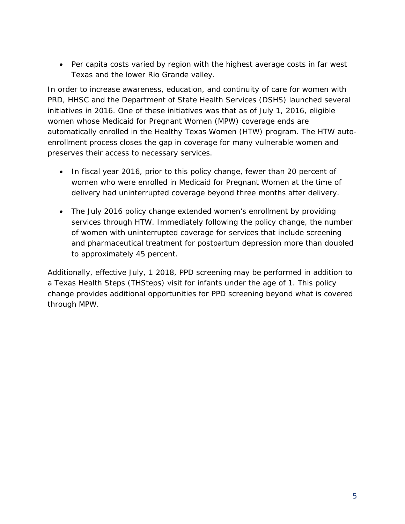• Per capita costs varied by region with the highest average costs in far west Texas and the lower Rio Grande valley.

In order to increase awareness, education, and continuity of care for women with PRD, HHSC and the Department of State Health Services (DSHS) launched several initiatives in 2016. One of these initiatives was that as of July 1, 2016, eligible women whose Medicaid for Pregnant Women (MPW) coverage ends are automatically enrolled in the Healthy Texas Women (HTW) program. The HTW autoenrollment process closes the gap in coverage for many vulnerable women and preserves their access to necessary services.

- In fiscal year 2016, prior to this policy change, fewer than 20 percent of women who were enrolled in Medicaid for Pregnant Women at the time of delivery had uninterrupted coverage beyond three months after delivery.
- The July 2016 policy change extended women's enrollment by providing services through HTW. Immediately following the policy change, the number of women with uninterrupted coverage for services that include screening and pharmaceutical treatment for postpartum depression more than doubled to approximately 45 percent.

Additionally, effective July, 1 2018, PPD screening may be performed in addition to a Texas Health Steps (THSteps) visit for infants under the age of 1. This policy change provides additional opportunities for PPD screening beyond what is covered through MPW.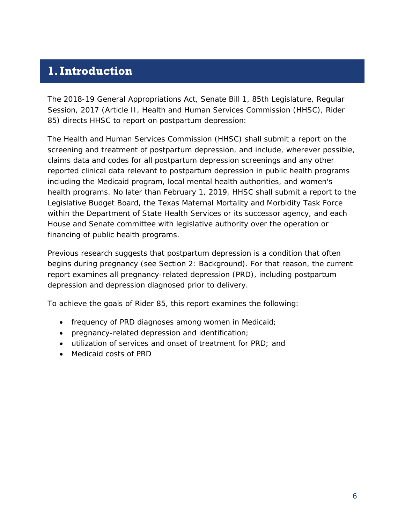# <span id="page-5-0"></span>**1.Introduction**

The 2018-19 General Appropriations Act, Senate Bill 1, 85th Legislature, Regular Session, 2017 (Article II, Health and Human Services Commission (HHSC), Rider 85) directs HHSC to report on postpartum depression:

*The Health and Human Services Commission (HHSC) shall submit a report on the screening and treatment of postpartum depression, and include, wherever possible, claims data and codes for all postpartum depression screenings and any other reported clinical data relevant to postpartum depression in public health programs including the Medicaid program, local mental health authorities, and women's health programs. No later than February 1, 2019, HHSC shall submit a report to the Legislative Budget Board, the Texas Maternal Mortality and Morbidity Task Force within the Department of State Health Services or its successor agency, and each House and Senate committee with legislative authority over the operation or financing of public health programs.*

Previous research suggests that postpartum depression is a condition that often begins during pregnancy (see Section 2: Background). For that reason, the current report examines all pregnancy-related depression (PRD), including postpartum depression and depression diagnosed prior to delivery.

To achieve the goals of Rider 85, this report examines the following:

- frequency of PRD diagnoses among women in Medicaid;
- pregnancy-related depression and identification;
- utilization of services and onset of treatment for PRD; and
- Medicaid costs of PRD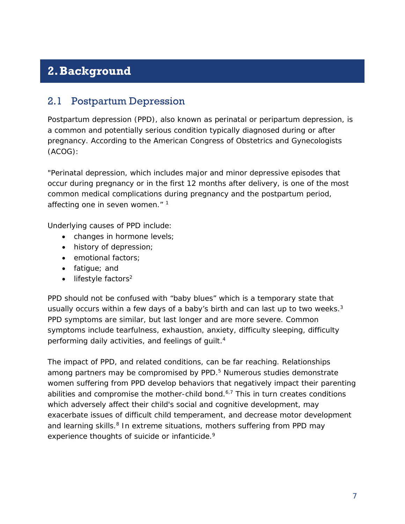# <span id="page-6-0"></span>**2.Background**

### <span id="page-6-1"></span>2.1 Postpartum Depression

Postpartum depression (PPD), also known as perinatal or peripartum depression, is a common and potentially serious condition typically diagnosed during or after pregnancy. According to the American Congress of Obstetrics and Gynecologists (ACOG):

*"Perinatal depression, which includes major and minor depressive episodes that occur during pregnancy or in the first 12 months after delivery, is one of the most common medical complications during pregnancy and the postpartum period, affecting one in seven women."* <sup>1</sup>

Underlying causes of PPD include:

- changes in hormone levels;
- history of depression;
- emotional factors;
- fatigue; and
- $\bullet$  lifestyle factors<sup>2</sup>

PPD should not be confused with "baby blues" which is a temporary state that usually occurs within a few days of a baby's birth and can last up to two weeks.<sup>3</sup> PPD symptoms are similar, but last longer and are more severe. Common symptoms include tearfulness, exhaustion, anxiety, difficulty sleeping, difficulty performing daily activities, and feelings of quilt.<sup>4</sup>

The impact of PPD, and related conditions, can be far reaching. Relationships among partners may be compromised by PPD.<sup>5</sup> Numerous studies demonstrate women suffering from PPD develop behaviors that negatively impact their parenting abilities and compromise the mother-child bond. $6,7$  This in turn creates conditions which adversely affect their child's social and cognitive development, may exacerbate issues of difficult child temperament, and decrease motor development and learning skills.<sup>8</sup> In extreme situations, mothers suffering from PPD may experience thoughts of suicide or infanticide.<sup>9</sup>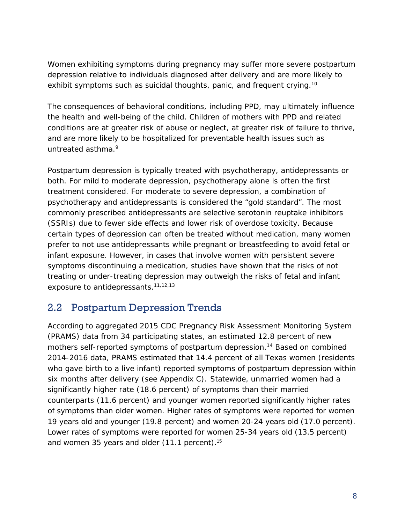Women exhibiting symptoms during pregnancy may suffer more severe postpartum depression relative to individuals diagnosed after delivery and are more likely to exhibit symptoms such as suicidal thoughts, panic, and frequent crying.<sup>10</sup>

The consequences of behavioral conditions, including PPD, may ultimately influence the health and well-being of the child. Children of mothers with PPD and related conditions are at greater risk of abuse or neglect, at greater risk of failure to thrive, and are more likely to be hospitalized for preventable health issues such as untreated asthma. 9

Postpartum depression is typically treated with psychotherapy, antidepressants or both. For mild to moderate depression, psychotherapy alone is often the first treatment considered. For moderate to severe depression, a combination of psychotherapy and antidepressants is considered the "gold standard". The most commonly prescribed antidepressants are selective serotonin reuptake inhibitors (SSRIs) due to fewer side effects and lower risk of overdose toxicity. Because certain types of depression can often be treated without medication, many women prefer to not use antidepressants while pregnant or breastfeeding to avoid fetal or infant exposure. However, in cases that involve women with persistent severe symptoms discontinuing a medication, studies have shown that the risks of not treating or under-treating depression may outweigh the risks of fetal and infant exposure to antidepressants.<sup>11,12,13</sup>

### <span id="page-7-0"></span>2.2 Postpartum Depression Trends

According to aggregated 2015 CDC Pregnancy Risk Assessment Monitoring System (PRAMS) data from 34 participating states, an estimated 12.8 percent of new mothers self-reported symptoms of postpartum depression.14 Based on combined 2014-2016 data, PRAMS estimated that 14.4 percent of all Texas women (residents who gave birth to a live infant) reported symptoms of postpartum depression within six months after delivery (see Appendix C). Statewide, unmarried women had a significantly higher rate (18.6 percent) of symptoms than their married counterparts (11.6 percent) and younger women reported significantly higher rates of symptoms than older women. Higher rates of symptoms were reported for women 19 years old and younger (19.8 percent) and women 20-24 years old (17.0 percent). Lower rates of symptoms were reported for women 25-34 years old (13.5 percent) and women 35 years and older (11.1 percent).<sup>15</sup>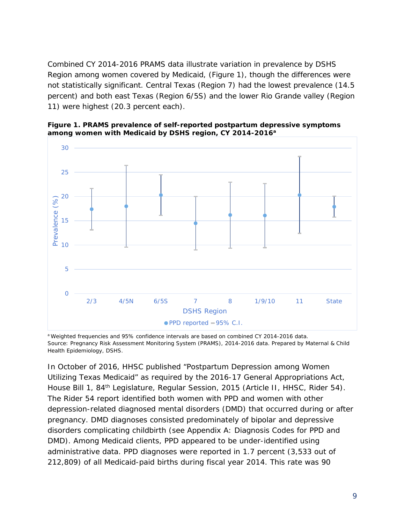Combined CY 2014-2016 PRAMS data illustrate variation in prevalence by DSHS Region among women covered by Medicaid, (Figure 1), though the differences were not statistically significant. Central Texas (Region 7) had the lowest prevalence (14.5 percent) and both east Texas (Region 6/5S) and the lower Rio Grande valley (Region 11) were highest (20.3 percent each).



**Figure 1. PRAMS prevalence of self-reported postpartum depressive symptoms among women with Medicaid by DSHS region, CY 2014-2016a**

a Weighted frequencies and 95% confidence intervals are based on combined CY 2014-2016 data. Source: Pregnancy Risk Assessment Monitoring System (PRAMS), 2014-2016 data. Prepared by Maternal & Child Health Epidemiology, DSHS.

In October of 2016, HHSC published "Postpartum Depression among Women Utilizing Texas Medicaid" as required by the 2016-17 General Appropriations Act, House Bill 1, 84<sup>th</sup> Legislature, Regular Session, 2015 (Article II, HHSC, Rider 54). The Rider 54 report identified both women with PPD and women with other depression-related diagnosed mental disorders (DMD) that occurred during or after pregnancy. DMD diagnoses consisted predominately of bipolar and depressive disorders complicating childbirth (see Appendix A: Diagnosis Codes for PPD and DMD). Among Medicaid clients, PPD appeared to be under-identified using administrative data. PPD diagnoses were reported in 1.7 percent (3,533 out of 212,809) of all Medicaid-paid births during fiscal year 2014. This rate was 90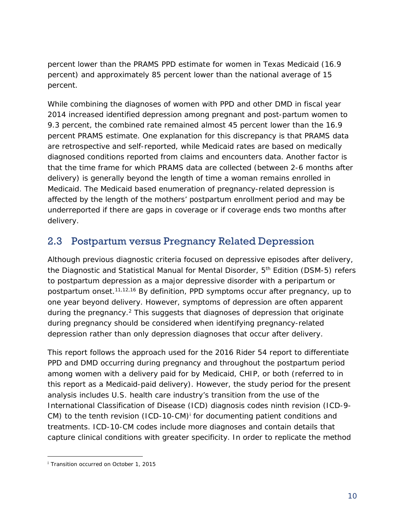percent lower than the PRAMS PPD estimate for women in Texas Medicaid (16.9 percent) and approximately 85 percent lower than the national average of 15 percent.

While combining the diagnoses of women with PPD and other DMD in fiscal year 2014 increased identified depression among pregnant and post-partum women to 9.3 percent, the combined rate remained almost 45 percent lower than the 16.9 percent PRAMS estimate. One explanation for this discrepancy is that PRAMS data are retrospective and self-reported, while Medicaid rates are based on medically diagnosed conditions reported from claims and encounters data. Another factor is that the time frame for which PRAMS data are collected (between 2-6 months after delivery) is generally beyond the length of time a woman remains enrolled in Medicaid. The Medicaid based enumeration of pregnancy-related depression is affected by the length of the mothers' postpartum enrollment period and may be underreported if there are gaps in coverage or if coverage ends two months after delivery.

## <span id="page-9-0"></span>2.3 Postpartum versus Pregnancy Related Depression

Although previous diagnostic criteria focused on depressive episodes after delivery, the Diagnostic and Statistical Manual for Mental Disorder, 5<sup>th</sup> Edition (DSM-5) refers to postpartum depression as a major depressive disorder with a peripartum or postpartum onset.11,12,16 By definition, PPD symptoms occur after pregnancy, up to one year beyond delivery. However, symptoms of depression are often apparent during the pregnancy.<sup>2</sup> This suggests that diagnoses of depression that originate during pregnancy should be considered when identifying pregnancy-related depression rather than only depression diagnoses that occur after delivery.

This report follows the approach used for the 2016 Rider 54 report to differentiate PPD and DMD occurring during pregnancy and throughout the postpartum period among women with a delivery paid for by Medicaid, CHIP, or both (referred to in this report as a Medicaid-paid delivery). However, the study period for the present analysis includes U.S. health care industry's transition from the use of the International Classification of Disease (ICD) diagnosis codes ninth revision (ICD-9 CM) to the tenth rev[i](#page-9-1)sion (ICD-10-CM)<sup> $\dot{ }$ </sup> for documenting patient conditions and treatments. ICD-10-CM codes include more diagnoses and contain details that capture clinical conditions with greater specificity. In order to replicate the method

l

<span id="page-9-1"></span><sup>&</sup>lt;sup>i</sup> Transition occurred on October 1, 2015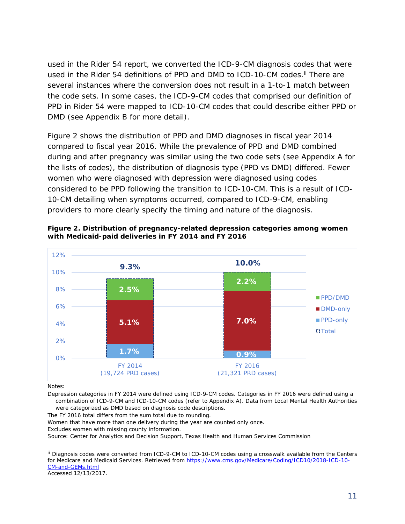used in the Rider 54 report, we converted the ICD-9-CM diagnosis codes that were used in the Rider 54 definitions of PPD and DMD to ICD-10-CM codes.<sup>[ii](#page-10-0)</sup> There are several instances where the conversion does not result in a 1-to-1 match between the code sets. In some cases, the ICD-9-CM codes that comprised our definition of PPD in Rider 54 were mapped to ICD-10-CM codes that could describe either PPD or DMD (see Appendix B for more detail).

Figure 2 shows the distribution of PPD and DMD diagnoses in fiscal year 2014 compared to fiscal year 2016. While the prevalence of PPD and DMD combined during and after pregnancy was similar using the two code sets (see Appendix A for the lists of codes), the distribution of diagnosis type (PPD vs DMD) differed. Fewer women who were diagnosed with depression were diagnosed using codes considered to be PPD following the transition to ICD-10-CM. This is a result of ICD-10-CM detailing when symptoms occurred, compared to ICD-9-CM, enabling providers to more clearly specify the timing and nature of the diagnosis.



**Figure 2. Distribution of pregnancy-related depression categories among women with Medicaid-paid deliveries in FY 2014 and FY 2016**

Notes:

1

Depression categories in FY 2014 were defined using ICD-9-CM codes. Categories in FY 2016 were defined using a combination of ICD-9-CM and ICD-10-CM codes (refer to Appendix A). Data from Local Mental Health Authorities were categorized as DMD based on diagnosis code descriptions.

The FY 2016 total differs from the sum total due to rounding.

Women that have more than one delivery during the year are counted only once.

Excludes women with missing county information.

Source: Center for Analytics and Decision Support, Texas Health and Human Services Commission

Accessed 12/13/2017.

<span id="page-10-0"></span>ii Diagnosis codes were converted from ICD-9-CM to ICD-10-CM codes using a crosswalk available from the Centers for Medicare and Medicaid Services. Retrieved from [https://www.cms.gov/Medicare/Coding/ICD10/2018-ICD-10-](https://www.cms.gov/Medicare/Coding/ICD10/2018-ICD-10-CM-and-GEMs.html) [CM-and-GEMs.html](https://www.cms.gov/Medicare/Coding/ICD10/2018-ICD-10-CM-and-GEMs.html)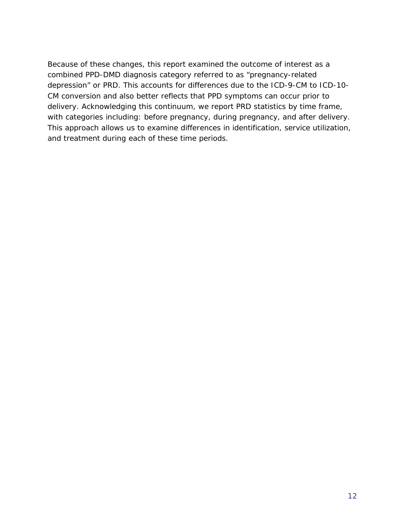Because of these changes, this report examined the outcome of interest as a combined PPD-DMD diagnosis category referred to as "pregnancy-related depression" or PRD. This accounts for differences due to the ICD-9-CM to ICD-10- CM conversion and also better reflects that PPD symptoms can occur prior to delivery. Acknowledging this continuum, we report PRD statistics by time frame, with categories including: before pregnancy, during pregnancy, and after delivery. This approach allows us to examine differences in identification, service utilization, and treatment during each of these time periods.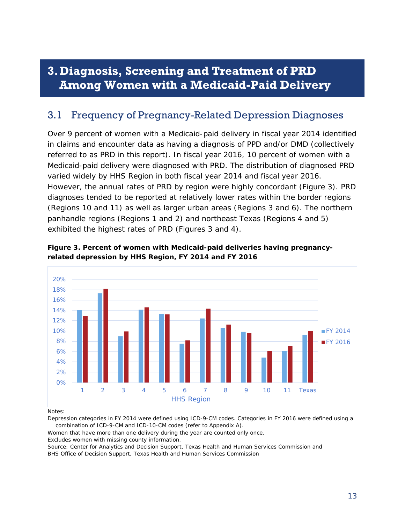# <span id="page-12-0"></span>**3.Diagnosis, Screening and Treatment of PRD Among Women with a Medicaid-Paid Delivery**

## <span id="page-12-1"></span>3.1 Frequency of Pregnancy-Related Depression Diagnoses

Over 9 percent of women with a Medicaid-paid delivery in fiscal year 2014 identified in claims and encounter data as having a diagnosis of PPD and/or DMD (collectively referred to as PRD in this report). In fiscal year 2016, 10 percent of women with a Medicaid-paid delivery were diagnosed with PRD. The distribution of diagnosed PRD varied widely by HHS Region in both fiscal year 2014 and fiscal year 2016. However, the annual rates of PRD by region were highly concordant (Figure 3). PRD diagnoses tended to be reported at relatively lower rates within the border regions (Regions 10 and 11) as well as larger urban areas (Regions 3 and 6). The northern panhandle regions (Regions 1 and 2) and northeast Texas (Regions 4 and 5) exhibited the highest rates of PRD (Figures 3 and 4).



**Figure 3. Percent of women with Medicaid-paid deliveries having pregnancyrelated depression by HHS Region, FY 2014 and FY 2016**

#### Notes:

Depression categories in FY 2014 were defined using ICD-9-CM codes. Categories in FY 2016 were defined using a combination of ICD-9-CM and ICD-10-CM codes (refer to Appendix A).

Women that have more than one delivery during the year are counted only once.

Excludes women with missing county information.

Source: Center for Analytics and Decision Support, Texas Health and Human Services Commission and BHS Office of Decision Support, Texas Health and Human Services Commission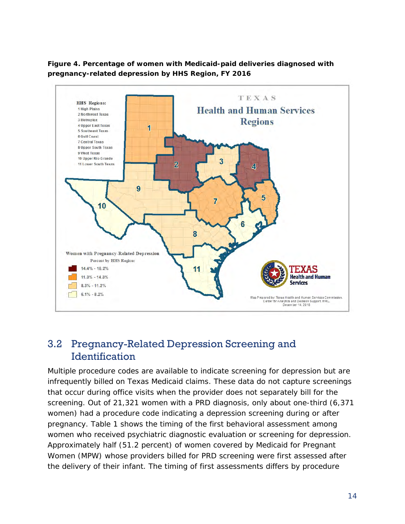

**Figure 4. Percentage of women with Medicaid-paid deliveries diagnosed with pregnancy-related depression by HHS Region, FY 2016**

## <span id="page-13-0"></span>3.2 Pregnancy-Related Depression Screening and **Identification**

Multiple procedure codes are available to indicate screening for depression but are infrequently billed on Texas Medicaid claims. These data do not capture screenings that occur during office visits when the provider does not separately bill for the screening. Out of 21,321 women with a PRD diagnosis, only about one-third (6,371 women) had a procedure code indicating a depression screening during or after pregnancy. Table 1 shows the timing of the first behavioral assessment among women who received psychiatric diagnostic evaluation or screening for depression. Approximately half (51.2 percent) of women covered by Medicaid for Pregnant Women (MPW) whose providers billed for PRD screening were first assessed after the delivery of their infant. The timing of first assessments differs by procedure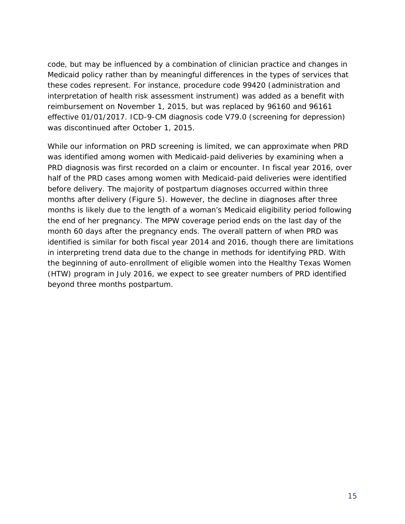code, but may be influenced by a combination of clinician practice and changes in Medicaid policy rather than by meaningful differences in the types of services that these codes represent. For instance, procedure code 99420 (administration and interpretation of health risk assessment instrument) was added as a benefit with reimbursement on November 1, 2015, but was replaced by 96160 and 96161 effective 01/01/2017. ICD-9-CM diagnosis code V79.0 (screening for depression) was discontinued after October 1, 2015.

While our information on PRD screening is limited, we can approximate when PRD was identified among women with Medicaid-paid deliveries by examining when a PRD diagnosis was first recorded on a claim or encounter. In fiscal year 2016, over half of the PRD cases among women with Medicaid-paid deliveries were identified before delivery. The majority of postpartum diagnoses occurred within three months after delivery (Figure 5). However, the decline in diagnoses after three months is likely due to the length of a woman's Medicaid eligibility period following the end of her pregnancy. The MPW coverage period ends on the last day of the month 60 days after the pregnancy ends. The overall pattern of when PRD was identified is similar for both fiscal year 2014 and 2016, though there are limitations in interpreting trend data due to the change in methods for identifying PRD. With the beginning of auto-enrollment of eligible women into the Healthy Texas Women (HTW) program in July 2016, we expect to see greater numbers of PRD identified beyond three months postpartum.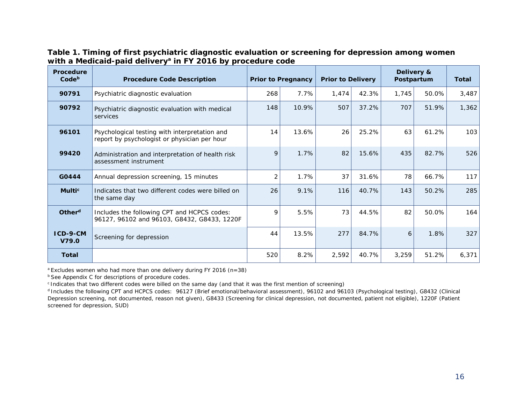#### **Table 1. Timing of first psychiatric diagnostic evaluation or screening for depression among women**  with a Medicaid-paid delivery<sup>a</sup> in FY 2016 by procedure code

| <b>Procedure</b><br>Code <sup>b</sup> | <b>Procedure Code Description</b>                                                             |                | <b>Prior to Pregnancy</b> | <b>Prior to Delivery</b> |       | Delivery &<br>Postpartum | <b>Total</b> |       |
|---------------------------------------|-----------------------------------------------------------------------------------------------|----------------|---------------------------|--------------------------|-------|--------------------------|--------------|-------|
| 90791                                 | Psychiatric diagnostic evaluation                                                             | 268            | 7.7%                      | 1,474                    | 42.3% | 1,745                    | 50.0%        | 3,487 |
| 90792                                 | Psychiatric diagnostic evaluation with medical<br>services                                    | 148            | 10.9%                     | 507                      | 37.2% | 707                      | 51.9%        | 1,362 |
| 96101                                 | Psychological testing with interpretation and<br>report by psychologist or physician per hour | 14             | 13.6%                     | 26                       | 25.2% | 63                       | 61.2%        | 103   |
| 99420                                 | Administration and interpretation of health risk<br>assessment instrument                     |                | 1.7%                      | 82                       | 15.6% | 435                      | 82.7%        | 526   |
| G0444                                 | Annual depression screening, 15 minutes                                                       | $\overline{2}$ | 1.7%                      | 37                       | 31.6% | 78                       | 66.7%        | 117   |
| <b>Multic</b>                         | Indicates that two different codes were billed on<br>the same day                             | 26             | 9.1%                      | 116                      | 40.7% | 143                      | 50.2%        | 285   |
| Other <sup>d</sup>                    | Includes the following CPT and HCPCS codes:<br>96127, 96102 and 96103, G8432, G8433, 1220F    |                | 5.5%                      | 73                       | 44.5% | 82                       | 50.0%        | 164   |
| ICD-9-CM<br>V79.0                     | Screening for depression                                                                      |                | 13.5%                     | 277                      | 84.7% | 6                        | 1.8%         | 327   |
| <b>Total</b>                          |                                                                                               | 520            | 8.2%                      | 2,592                    | 40.7% | 3,259                    | 51.2%        | 6,371 |

 $a$  Excludes women who had more than one delivery during FY 2016 (n=38)

**b** See Appendix C for descriptions of procedure codes.

c Indicates that two different codes were billed on the same day (and that it was the first mention of screening)

d Includes the following CPT and HCPCS codes: 96127 (Brief emotional/behavioral assessment), 96102 and 96103 (Psychological testing), G8432 (Clinical Depression screening, not documented, reason not given), G8433 (Screening for clinical depression, not documented, patient not eligible), 1220F (Patient screened for depression, SUD)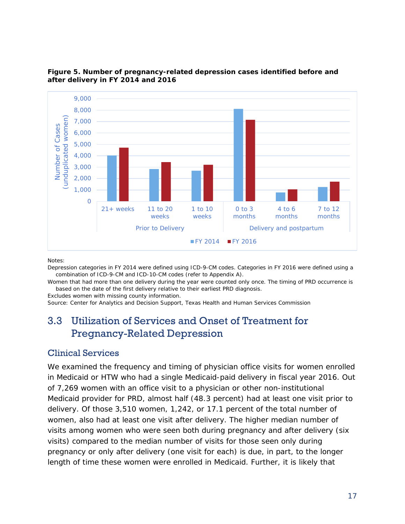

#### **Figure 5. Number of pregnancy-related depression cases identified before and after delivery in FY 2014 and 2016**

Notes:

Depression categories in FY 2014 were defined using ICD-9-CM codes. Categories in FY 2016 were defined using a combination of ICD-9-CM and ICD-10-CM codes (refer to Appendix A).

Women that had more than one delivery during the year were counted only once. The timing of PRD occurrence is based on the date of the first delivery relative to their earliest PRD diagnosis.

Excludes women with missing county information.

<span id="page-16-0"></span>Source: Center for Analytics and Decision Support, Texas Health and Human Services Commission

## 3.3 Utilization of Services and Onset of Treatment for Pregnancy-Related Depression

#### Clinical Services

We examined the frequency and timing of physician office visits for women enrolled in Medicaid or HTW who had a single Medicaid-paid delivery in fiscal year 2016. Out of 7,269 women with an office visit to a physician or other non-institutional Medicaid provider for PRD, almost half (48.3 percent) had at least one visit prior to delivery. Of those 3,510 women, 1,242, or 17.1 percent of the total number of women, also had at least one visit after delivery. The higher median number of visits among women who were seen both during pregnancy and after delivery (six visits) compared to the median number of visits for those seen only during pregnancy or only after delivery (one visit for each) is due, in part, to the longer length of time these women were enrolled in Medicaid. Further, it is likely that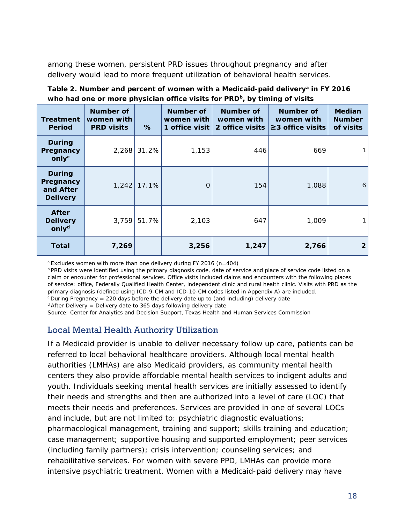among these women, persistent PRD issues throughout pregnancy and after delivery would lead to more frequent utilization of behavioral health services.

Table 2. Number and percent of women with a Medicaid-paid delivery<sup>a</sup> in FY 2016 who had one or more physician office visits for PRD<sup>b</sup>, by timing of visits

| <b>Treatment</b><br><b>Period</b>                          | Number of<br>women with<br><b>PRD visits</b> | %             | <b>Number of</b><br>women with<br>1 office visit | Number of<br>women with<br>2 office visits | Number of<br>women with<br>$\geq$ 3 office visits | <b>Median</b><br><b>Number</b><br>of visits |
|------------------------------------------------------------|----------------------------------------------|---------------|--------------------------------------------------|--------------------------------------------|---------------------------------------------------|---------------------------------------------|
| <b>During</b><br>Pregnancy<br>onlyc                        | 2,268                                        | 31.2%         | 1,153                                            | 446                                        | 669                                               |                                             |
| <b>During</b><br>Pregnancy<br>and After<br><b>Delivery</b> |                                              | $1,242$ 17.1% | O                                                | 154                                        | 1,088                                             | 6                                           |
| <b>After</b><br><b>Delivery</b><br>only <sup>d</sup>       | 3,759                                        | 51.7%         | 2,103                                            | 647                                        | 1,009                                             | 1                                           |
| Total                                                      | 7,269                                        |               | 3,256                                            | 1,247                                      | 2,766                                             | $\overline{2}$                              |

 $a$  Excludes women with more than one delivery during FY 2016 (n=404)

**PRD visits were identified using the primary diagnosis code, date of service and place of service code listed on a** claim or encounter for professional services. Office visits included claims and encounters with the following places of service: office, Federally Qualified Health Center, independent clinic and rural health clinic. Visits with PRD as the primary diagnosis (defined using ICD-9-CM and ICD-10-CM codes listed in Appendix A) are included.

 $c$  During Pregnancy = 220 days before the delivery date up to (and including) delivery date

 $d$  After Delivery = Delivery date to 365 days following delivery date

Source: Center for Analytics and Decision Support, Texas Health and Human Services Commission

#### Local Mental Health Authority Utilization

If a Medicaid provider is unable to deliver necessary follow up care, patients can be referred to local behavioral healthcare providers. Although local mental health authorities (LMHAs) are also Medicaid providers, as community mental health centers they also provide affordable mental health services to indigent adults and youth. Individuals seeking mental health services are initially assessed to identify their needs and strengths and then are authorized into a level of care (LOC) that meets their needs and preferences. Services are provided in one of several LOCs and include, but are not limited to: psychiatric diagnostic evaluations; pharmacological management, training and support; skills training and education; case management; supportive housing and supported employment; peer services (including family partners); crisis intervention; counseling services; and rehabilitative services. For women with severe PPD, LMHAs can provide more intensive psychiatric treatment. Women with a Medicaid-paid delivery may have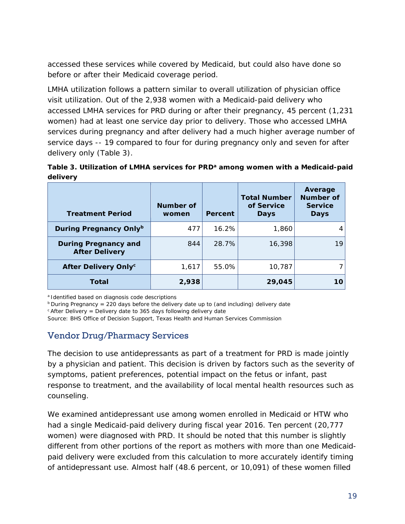accessed these services while covered by Medicaid, but could also have done so before or after their Medicaid coverage period.

LMHA utilization follows a pattern similar to overall utilization of physician office visit utilization. Out of the 2,938 women with a Medicaid-paid delivery who accessed LMHA services for PRD during or after their pregnancy, 45 percent (1,231 women) had at least one service day prior to delivery. Those who accessed LMHA services during pregnancy and after delivery had a much higher average number of service days -- 19 compared to four for during pregnancy only and seven for after delivery only (Table 3).

Table 3. Utilization of LMHA services for PRD<sup>a</sup> among women with a Medicaid-paid **delivery**

| <b>Treatment Period</b>                              | Number of<br>women | Percent | <b>Total Number</b><br>of Service<br><b>Days</b> | Average<br><b>Number of</b><br><b>Service</b><br><b>Days</b> |
|------------------------------------------------------|--------------------|---------|--------------------------------------------------|--------------------------------------------------------------|
| During Pregnancy Onlyb                               | 477                | 16.2%   | 1,860                                            | 4                                                            |
| <b>During Pregnancy and</b><br><b>After Delivery</b> | 844                | 28.7%   | 16,398                                           | 19                                                           |
| After Delivery Only <sup>c</sup>                     | 1,617              | 55.0%   | 10,787                                           |                                                              |
| Total                                                | 2,938              |         | 29,045                                           | 10                                                           |

<sup>a</sup> Identified based on diagnosis code descriptions<br><sup>b</sup> During Pregnancy = 220 days before the delivery date up to (and including) delivery date

 $c$  After Delivery = Delivery date to 365 days following delivery date

Source: BHS Office of Decision Support, Texas Health and Human Services Commission

### Vendor Drug/Pharmacy Services

The decision to use antidepressants as part of a treatment for PRD is made jointly by a physician and patient. This decision is driven by factors such as the severity of symptoms, patient preferences, potential impact on the fetus or infant, past response to treatment, and the availability of local mental health resources such as counseling.

We examined antidepressant use among women enrolled in Medicaid or HTW who had a single Medicaid-paid delivery during fiscal year 2016. Ten percent (20,777 women) were diagnosed with PRD. It should be noted that this number is slightly different from other portions of the report as mothers with more than one Medicaidpaid delivery were excluded from this calculation to more accurately identify timing of antidepressant use. Almost half (48.6 percent, or 10,091) of these women filled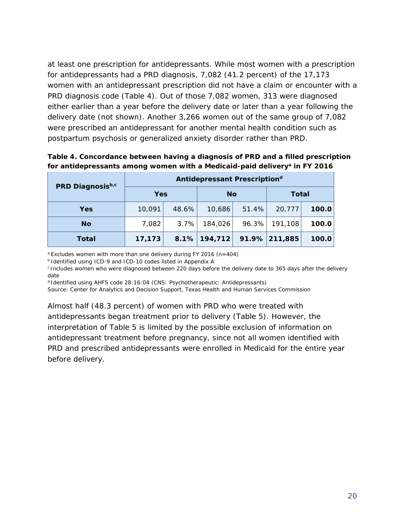at least one prescription for antidepressants. While most women with a prescription for antidepressants had a PRD diagnosis, 7,082 (41.2 percent) of the 17,173 women with an antidepressant prescription did not have a claim or encounter with a PRD diagnosis code (Table 4). Out of those 7,082 women, 313 were diagnosed either earlier than a year before the delivery date or later than a year following the delivery date (not shown). Another 3,266 women out of the same group of 7,082 were prescribed an antidepressant for another mental health condition such as postpartum psychosis or generalized anxiety disorder rather than PRD.

**Table 4. Concordance between having a diagnosis of PRD and a filled prescription**  for antidepressants among women with a Medicaid-paid delivery<sup>a</sup> in FY 2016

| PRD Diagnosisb,c | Antidepressant Prescription <sup>d</sup> |       |                 |       |                  |       |  |  |  |  |
|------------------|------------------------------------------|-------|-----------------|-------|------------------|-------|--|--|--|--|
|                  | <b>Yes</b>                               |       | <b>No</b>       |       | <b>Total</b>     |       |  |  |  |  |
| Yes              | 10,091                                   | 48.6% | 10,686          | 51.4% | 20,777           | 100.0 |  |  |  |  |
| <b>No</b>        | 7,082                                    | 3.7%  | 184,026         | 96.3% | 191,108          | 100.0 |  |  |  |  |
| <b>Total</b>     | 17,173                                   |       | $8.1\%$ 194,712 |       | $91.9\%$ 211,885 | 100.0 |  |  |  |  |

a Excludes women with more than one delivery during FY 2016 (n=404)

b Identified using ICD-9 and ICD-10 codes listed in Appendix A

c Includes women who were diagnosed between 220 days before the delivery date to 365 days after the delivery date

d Identified using AHFS code 28:16:04 (CNS: Psychotherapeutic: Antidepressants)

Source: Center for Analytics and Decision Support, Texas Health and Human Services Commission

Almost half (48.3 percent) of women with PRD who were treated with antidepressants began treatment prior to delivery (Table 5). However, the interpretation of Table 5 is limited by the possible exclusion of information on antidepressant treatment before pregnancy, since not all women identified with PRD and prescribed antidepressants were enrolled in Medicaid for the entire year before delivery.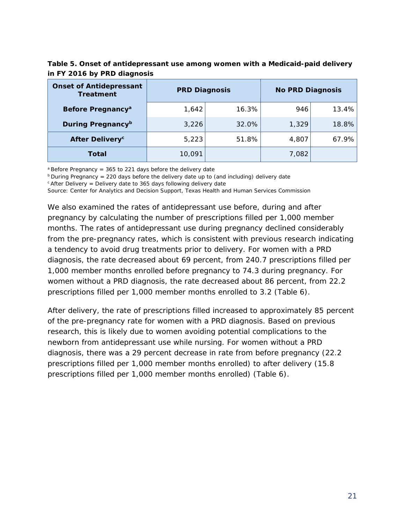| Table 5. Onset of antidepressant use among women with a Medicaid-paid delivery |  |
|--------------------------------------------------------------------------------|--|
| in FY 2016 by PRD diagnosis                                                    |  |

| <b>Onset of Antidepressant</b><br><b>Treatment</b> | <b>PRD Diagnosis</b> |       | <b>No PRD Diagnosis</b> |       |  |
|----------------------------------------------------|----------------------|-------|-------------------------|-------|--|
| Before Pregnancy <sup>a</sup>                      | 1,642                | 16.3% | 946                     | 13.4% |  |
| During Pregnancy <sup>b</sup>                      | 3,226                | 32.0% | 1,329                   | 18.8% |  |
| <b>After Delivery<sup>c</sup></b>                  | 5,223                | 51.8% | 4,807                   | 67.9% |  |
| Total                                              | 10.091               |       | 7,082                   |       |  |

 $a$  Before Pregnancy = 365 to 221 days before the delivery date

 $b$  During Pregnancy = 220 days before the delivery date up to (and including) delivery date

 $c$  After Delivery = Delivery date to 365 days following delivery date

Source: Center for Analytics and Decision Support, Texas Health and Human Services Commission

We also examined the rates of antidepressant use before, during and after pregnancy by calculating the number of prescriptions filled per 1,000 member months. The rates of antidepressant use during pregnancy declined considerably from the pre-pregnancy rates, which is consistent with previous research indicating a tendency to avoid drug treatments prior to delivery. For women with a PRD diagnosis, the rate decreased about 69 percent, from 240.7 prescriptions filled per 1,000 member months enrolled before pregnancy to 74.3 during pregnancy. For women without a PRD diagnosis, the rate decreased about 86 percent, from 22.2 prescriptions filled per 1,000 member months enrolled to 3.2 (Table 6).

After delivery, the rate of prescriptions filled increased to approximately 85 percent of the pre-pregnancy rate for women with a PRD diagnosis. Based on previous research, this is likely due to women avoiding potential complications to the newborn from antidepressant use while nursing. For women without a PRD diagnosis, there was a 29 percent decrease in rate from before pregnancy (22.2 prescriptions filled per 1,000 member months enrolled) to after delivery (15.8 prescriptions filled per 1,000 member months enrolled) (Table 6).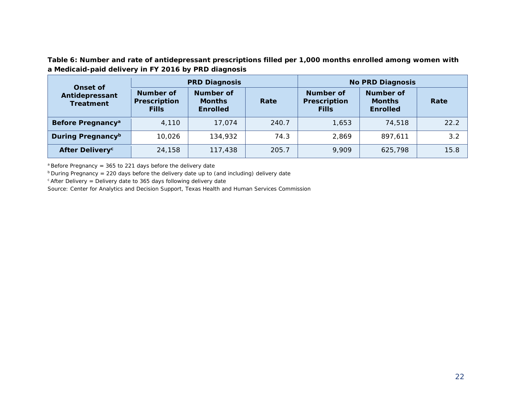**Table 6: Number and rate of antidepressant prescriptions filled per 1,000 months enrolled among women with a Medicaid-paid delivery in FY 2016 by PRD diagnosis** 

| Onset of                           |                                           | <b>PRD Diagnosis</b>                          |       | <b>No PRD Diagnosis</b>                   |                                               |      |  |  |
|------------------------------------|-------------------------------------------|-----------------------------------------------|-------|-------------------------------------------|-----------------------------------------------|------|--|--|
| Antidepressant<br><b>Treatment</b> | Number of<br>Prescription<br><b>Fills</b> | Number of<br><b>Months</b><br><b>Enrolled</b> | Rate  | Number of<br>Prescription<br><b>Fills</b> | Number of<br><b>Months</b><br><b>Enrolled</b> | Rate |  |  |
| Before Pregnancy <sup>a</sup>      | 4,110                                     | 17.074                                        | 240.7 | 1.653                                     | 74,518                                        | 22.2 |  |  |
| During Pregnancy <sup>b</sup>      | 10,026                                    | 134,932                                       | 74.3  | 2,869                                     | 897.611                                       | 3.2  |  |  |
| <b>After Delivery<sup>c</sup></b>  | 24,158                                    | 117,438                                       | 205.7 | 9,909                                     | 625,798                                       | 15.8 |  |  |

 $a$  Before Pregnancy = 365 to 221 days before the delivery date

 $b$  During Pregnancy = 220 days before the delivery date up to (and including) delivery date

 $c$  After Delivery = Delivery date to 365 days following delivery date

Source: Center for Analytics and Decision Support, Texas Health and Human Services Commission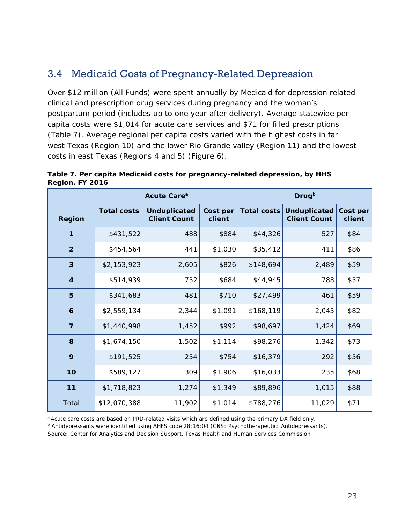# <span id="page-22-0"></span>3.4 Medicaid Costs of Pregnancy-Related Depression

Over \$12 million (All Funds) were spent annually by Medicaid for depression related clinical and prescription drug services during pregnancy and the woman's postpartum period (includes up to one year after delivery). Average statewide per capita costs were \$1,014 for acute care services and \$71 for filled prescriptions (Table 7). Average regional per capita costs varied with the highest costs in far west Texas (Region 10) and the lower Rio Grande valley (Region 11) and the lowest costs in east Texas (Regions 4 and 5) (Figure 6).

|                  |                    | Acute Care <sup>a</sup>                    | <b>Drug</b> b      |                    |                                            |                    |  |
|------------------|--------------------|--------------------------------------------|--------------------|--------------------|--------------------------------------------|--------------------|--|
| Region           | <b>Total costs</b> | <b>Unduplicated</b><br><b>Client Count</b> | Cost per<br>client | <b>Total costs</b> | <b>Unduplicated</b><br><b>Client Count</b> | Cost per<br>client |  |
| 1                | \$431,522          | 488                                        | \$884              | \$44,326           | 527                                        | \$84               |  |
| $\overline{2}$   | \$454,564          | 441                                        | \$1,030            | \$35,412           | 411                                        | \$86               |  |
| 3                | \$2,153,923        | 2,605                                      | \$826              | \$148,694          | 2,489                                      | \$59               |  |
| $\boldsymbol{4}$ | \$514,939          | 752                                        | \$684              | \$44,945           | 788                                        | \$57               |  |
| 5                | \$341,683          | 481                                        | \$710              | \$27,499           | 461                                        | \$59               |  |
| 6                | \$2,559,134        | 2,344                                      | \$1,091            | \$168,119          | 2,045                                      | \$82               |  |
| $\overline{7}$   | \$1,440,998        | 1,452                                      | \$992              | \$98,697           | 1,424                                      | \$69               |  |
| 8                | \$1,674,150        | 1,502                                      | \$1,114            | \$98,276           | 1,342                                      | \$73               |  |
| 9                | \$191,525          | 254                                        | \$754              | \$16,379           | 292                                        | \$56               |  |
| 10               | \$589,127          | 309                                        | \$1,906            | \$16,033           | 235                                        | \$68               |  |
| $11$             | \$1,718,823        | 1,274                                      | \$1,349            | \$89,896           | 1,015                                      | \$88               |  |
| Total            | \$12,070,388       | 11,902                                     | \$1,014            | \$788,276          | 11,029                                     | \$71               |  |

**Table 7. Per capita Medicaid costs for pregnancy-related depression, by HHS Region, FY 2016** 

a Acute care costs are based on PRD-related visits which are defined using the primary DX field only.

<sup>b</sup> Antidepressants were identified using AHFS code 28:16:04 (CNS: Psychotherapeutic: Antidepressants).

Source: Center for Analytics and Decision Support, Texas Health and Human Services Commission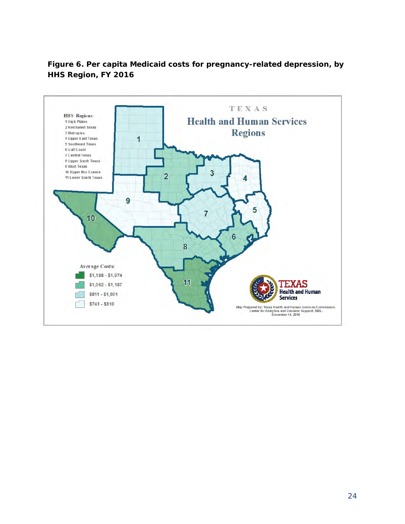### **Figure 6. Per capita Medicaid costs for pregnancy-related depression, by HHS Region, FY 2016**

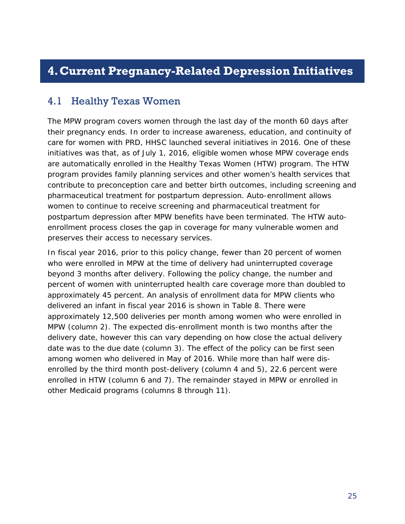# <span id="page-24-0"></span>**4.Current Pregnancy-Related Depression Initiatives**

### <span id="page-24-1"></span>4.1 Healthy Texas Women

The MPW program covers women through the last day of the month 60 days after their pregnancy ends. In order to increase awareness, education, and continuity of care for women with PRD, HHSC launched several initiatives in 2016. One of these initiatives was that, as of July 1, 2016, eligible women whose MPW coverage ends are automatically enrolled in the Healthy Texas Women (HTW) program. The HTW program provides family planning services and other women's health services that contribute to preconception care and better birth outcomes, including screening and pharmaceutical treatment for postpartum depression. Auto-enrollment allows women to continue to receive screening and pharmaceutical treatment for postpartum depression after MPW benefits have been terminated. The HTW autoenrollment process closes the gap in coverage for many vulnerable women and preserves their access to necessary services.

In fiscal year 2016, prior to this policy change, fewer than 20 percent of women who were enrolled in MPW at the time of delivery had uninterrupted coverage beyond 3 months after delivery. Following the policy change, the number and percent of women with uninterrupted health care coverage more than doubled to approximately 45 percent. An analysis of enrollment data for MPW clients who delivered an infant in fiscal year 2016 is shown in Table 8. There were approximately 12,500 deliveries per month among women who were enrolled in MPW (column 2). The expected dis-enrollment month is two months after the delivery date, however this can vary depending on how close the actual delivery date was to the due date (column 3). The effect of the policy can be first seen among women who delivered in May of 2016. While more than half were disenrolled by the third month post-delivery (column 4 and 5), 22.6 percent were enrolled in HTW (column 6 and 7). The remainder stayed in MPW or enrolled in other Medicaid programs (columns 8 through 11).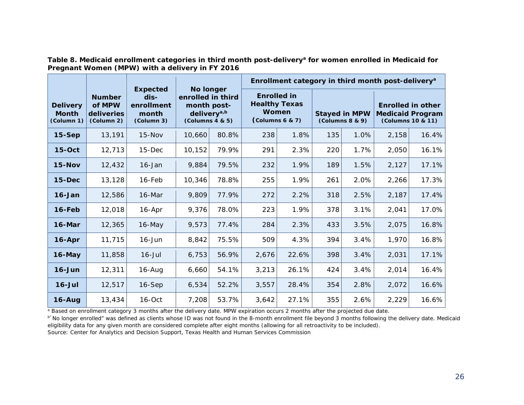|  |                                                 |  | Table 8. Medicaid enrollment categories in third month post-delivery <sup>a</sup> for women enrolled in Medicaid for |
|--|-------------------------------------------------|--|----------------------------------------------------------------------------------------------------------------------|
|  | Pregnant Women (MPW) with a delivery in FY 2016 |  |                                                                                                                      |

|                                               |                                                            |                                                              | No longer<br>enrolled in third<br>month post-<br>delivery <sup>a,b</sup><br>(Columns 4 8 5) |       |                                                                                |       |     |                                         | Enrollment category in third month post-delivery <sup>a</sup>            |       |
|-----------------------------------------------|------------------------------------------------------------|--------------------------------------------------------------|---------------------------------------------------------------------------------------------|-------|--------------------------------------------------------------------------------|-------|-----|-----------------------------------------|--------------------------------------------------------------------------|-------|
| <b>Delivery</b><br><b>Month</b><br>(Column 1) | <b>Number</b><br>of MPW<br><b>deliveries</b><br>(Column 2) | <b>Expected</b><br>dis-<br>enrollment<br>month<br>(Column 3) |                                                                                             |       | <b>Enrolled</b> in<br><b>Healthy Texas</b><br>Women<br>$\left($ Columns 6 & 7) |       |     | <b>Stayed in MPW</b><br>(Columns 8 8 9) | <b>Enrolled in other</b><br><b>Medicaid Program</b><br>(Columns 10 & 11) |       |
| $15-Sep$                                      | 13,191                                                     | $15 - Nov$                                                   | 10,660                                                                                      | 80.8% | 238                                                                            | 1.8%  | 135 | 1.0%                                    | 2,158                                                                    | 16.4% |
| $15-Oct$                                      | 12,713                                                     | $15$ -Dec                                                    | 10,152                                                                                      | 79.9% | 291                                                                            | 2.3%  | 220 | 1.7%                                    | 2,050                                                                    | 16.1% |
| $15-Nov$                                      | 12,432                                                     | $16$ -Jan                                                    | 9,884                                                                                       | 79.5% | 232                                                                            | 1.9%  | 189 | 1.5%                                    | 2,127                                                                    | 17.1% |
| $15-Dec$                                      | 13,128                                                     | 16-Feb                                                       | 10,346                                                                                      | 78.8% | 255                                                                            | 1.9%  | 261 | 2.0%                                    | 2,266                                                                    | 17.3% |
| $16 - Jan$                                    | 12,586                                                     | 16-Mar                                                       | 9,809                                                                                       | 77.9% | 272                                                                            | 2.2%  | 318 | 2.5%                                    | 2,187                                                                    | 17.4% |
| 16-Feb                                        | 12,018                                                     | 16-Apr                                                       | 9,376                                                                                       | 78.0% | 223                                                                            | 1.9%  | 378 | 3.1%                                    | 2,041                                                                    | 17.0% |
| 16-Mar                                        | 12,365                                                     | 16-May                                                       | 9,573                                                                                       | 77.4% | 284                                                                            | 2.3%  | 433 | 3.5%                                    | 2,075                                                                    | 16.8% |
| $16 - Apr$                                    | 11,715                                                     | $16$ -Jun                                                    | 8,842                                                                                       | 75.5% | 509                                                                            | 4.3%  | 394 | 3.4%                                    | 1,970                                                                    | 16.8% |
| $16$ -May                                     | 11,858                                                     | $16$ -Jul                                                    | 6,753                                                                                       | 56.9% | 2,676                                                                          | 22.6% | 398 | 3.4%                                    | 2,031                                                                    | 17.1% |
| $16 - Jun$                                    | 12,311                                                     | $16 - Aug$                                                   | 6,660                                                                                       | 54.1% | 3,213                                                                          | 26.1% | 424 | 3.4%                                    | 2,014                                                                    | 16.4% |
| $16$ -Jul                                     | 12,517                                                     | 16-Sep                                                       | 6,534                                                                                       | 52.2% | 3,557                                                                          | 28.4% | 354 | 2.8%                                    | 2,072                                                                    | 16.6% |
| $16 - Aug$                                    | 13,434                                                     | $16$ -Oct                                                    | 7,208                                                                                       | 53.7% | 3,642                                                                          | 27.1% | 355 | 2.6%                                    | 2,229                                                                    | 16.6% |

a Based on enrollment category 3 months after the delivery date. MPW expiration occurs 2 months after the projected due date.<br>b' No longer enrolled" was defined as clients whose ID was not found in the 8-month enrollment f eligibility data for any given month are considered complete after eight months (allowing for all retroactivity to be included). Source: Center for Analytics and Decision Support, Texas Health and Human Services Commission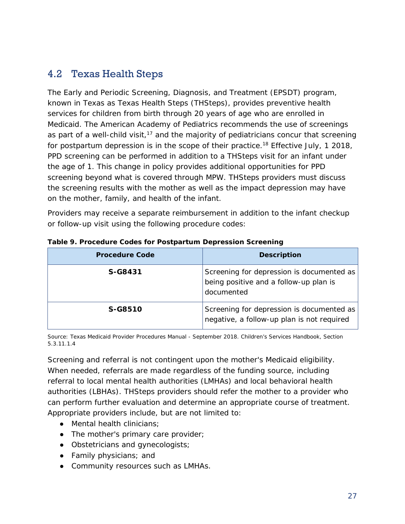## <span id="page-26-0"></span>4.2 Texas Health Steps

The Early and Periodic Screening, Diagnosis, and Treatment (EPSDT) program, known in Texas as Texas Health Steps (THSteps), provides preventive health services for children from birth through 20 years of age who are enrolled in Medicaid. The American Academy of Pediatrics recommends the use of screenings as part of a well-child visit,<sup>17</sup> and the majority of pediatricians concur that screening for postpartum depression is in the scope of their practice.<sup>18</sup> Effective July, 1 2018, PPD screening can be performed in addition to a THSteps visit for an infant under the age of 1. This change in policy provides additional opportunities for PPD screening beyond what is covered through MPW. THSteps providers must discuss the screening results with the mother as well as the impact depression may have on the mother, family, and health of the infant.

Providers may receive a separate reimbursement in addition to the infant checkup or follow-up visit using the following procedure codes:

| <b>Procedure Code</b> | <b>Description</b>                                                                                |
|-----------------------|---------------------------------------------------------------------------------------------------|
| S-G8431               | Screening for depression is documented as<br>being positive and a follow-up plan is<br>documented |
| S-G8510               | Screening for depression is documented as<br>negative, a follow-up plan is not required           |

#### **Table 9. Procedure Codes for Postpartum Depression Screening**

Source: Texas Medicaid Provider Procedures Manual - September 2018. Children's Services Handbook, Section 5.3.11.1.4

Screening and referral is not contingent upon the mother's Medicaid eligibility. When needed, referrals are made regardless of the funding source, including referral to local mental health authorities (LMHAs) and local behavioral health authorities (LBHAs). THSteps providers should refer the mother to a provider who can perform further evaluation and determine an appropriate course of treatment. Appropriate providers include, but are not limited to:

- Mental health clinicians;
- The mother's primary care provider;
- Obstetricians and gynecologists;
- Family physicians; and
- Community resources such as LMHAs.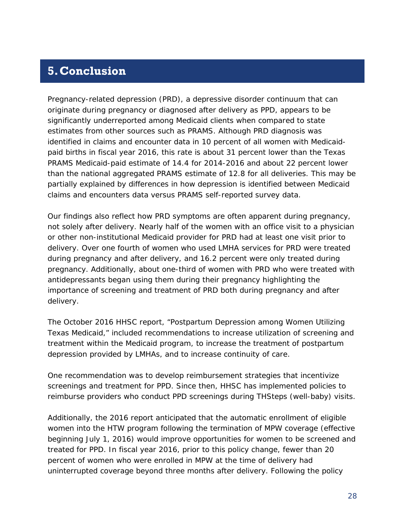# <span id="page-27-0"></span>**5.Conclusion**

Pregnancy-related depression (PRD), a depressive disorder continuum that can originate during pregnancy or diagnosed after delivery as PPD, appears to be significantly underreported among Medicaid clients when compared to state estimates from other sources such as PRAMS. Although PRD diagnosis was identified in claims and encounter data in 10 percent of all women with Medicaidpaid births in fiscal year 2016, this rate is about 31 percent lower than the Texas PRAMS Medicaid-paid estimate of 14.4 for 2014-2016 and about 22 percent lower than the national aggregated PRAMS estimate of 12.8 for all deliveries. This may be partially explained by differences in how depression is identified between Medicaid claims and encounters data versus PRAMS self-reported survey data.

Our findings also reflect how PRD symptoms are often apparent during pregnancy, not solely after delivery. Nearly half of the women with an office visit to a physician or other non-institutional Medicaid provider for PRD had at least one visit prior to delivery. Over one fourth of women who used LMHA services for PRD were treated during pregnancy and after delivery, and 16.2 percent were only treated during pregnancy. Additionally, about one-third of women with PRD who were treated with antidepressants began using them during their pregnancy highlighting the importance of screening and treatment of PRD both during pregnancy and after delivery.

The October 2016 HHSC report, "Postpartum Depression among Women Utilizing Texas Medicaid," included recommendations to increase utilization of screening and treatment within the Medicaid program, to increase the treatment of postpartum depression provided by LMHAs, and to increase continuity of care.

One recommendation was to develop reimbursement strategies that incentivize screenings and treatment for PPD. Since then, HHSC has implemented policies to reimburse providers who conduct PPD screenings during THSteps (well-baby) visits.

Additionally, the 2016 report anticipated that the automatic enrollment of eligible women into the HTW program following the termination of MPW coverage (effective beginning July 1, 2016) would improve opportunities for women to be screened and treated for PPD. In fiscal year 2016, prior to this policy change, fewer than 20 percent of women who were enrolled in MPW at the time of delivery had uninterrupted coverage beyond three months after delivery. Following the policy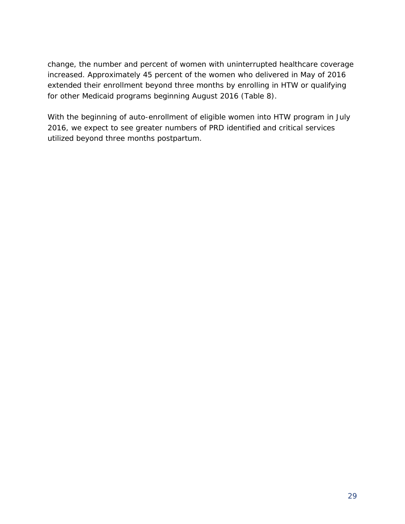change, the number and percent of women with uninterrupted healthcare coverage increased. Approximately 45 percent of the women who delivered in May of 2016 extended their enrollment beyond three months by enrolling in HTW or qualifying for other Medicaid programs beginning August 2016 (Table 8).

With the beginning of auto-enrollment of eligible women into HTW program in July 2016, we expect to see greater numbers of PRD identified and critical services utilized beyond three months postpartum.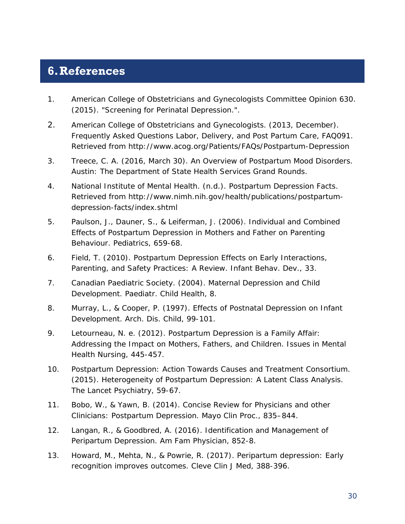# <span id="page-29-0"></span>**6.References**

- 1. American College of Obstetricians and Gynecologists Committee Opinion 630. (2015). *"Screening for Perinatal Depression.".*
- 2. American College of Obstetricians and Gynecologists. (2013, December). *Frequently Asked Questions Labor, Delivery, and Post Partum Care, FAQ091*. Retrieved from http://www.acog.org/Patients/FAQs/Postpartum-Depression
- 3. Treece, C. A. (2016, March 30). An Overview of Postpartum Mood Disorders. Austin: The Department of State Health Services Grand Rounds.
- 4. National Institute of Mental Health. (n.d.). *Postpartum Depression Facts*. Retrieved from http://www.nimh.nih.gov/health/publications/postpartumdepression-facts/index.shtml
- 5. Paulson, J., Dauner, S., & Leiferman, J. (2006). Individual and Combined Effects of Postpartum Depression in Mothers and Father on Parenting Behaviour. *Pediatrics*, 659-68.
- 6. Field, T. (2010). Postpartum Depression Effects on Early Interactions, Parenting, and Safety Practices: A Review. *Infant Behav. Dev.*, 33.
- 7. Canadian Paediatric Society. (2004). Maternal Depression and Child Development. *Paediatr. Child Health*, 8.
- 8. Murray, L., & Cooper, P. (1997). Effects of Postnatal Depression on Infant Development. *Arch. Dis. Child*, 99-101.
- 9. Letourneau, N. e. (2012). Postpartum Depression is a Family Affair: Addressing the Impact on Mothers, Fathers, and Children. *Issues in Mental Health Nursing*, 445-457.
- 10. Postpartum Depression: Action Towards Causes and Treatment Consortium. (2015). Heterogeneity of Postpartum Depression: A Latent Class Analysis. *The Lancet Psychiatry*, 59-67.
- 11. Bobo, W., & Yawn, B. (2014). Concise Review for Physicians and other Clinicians: Postpartum Depression. *Mayo Clin Proc.*, 835–844.
- 12. Langan, R., & Goodbred, A. (2016). Identification and Management of Peripartum Depression. *Am Fam Physician*, 852-8.
- 13. Howard, M., Mehta, N., & Powrie, R. (2017). Peripartum depression: Early recognition improves outcomes. *Cleve Clin J Med*, 388-396.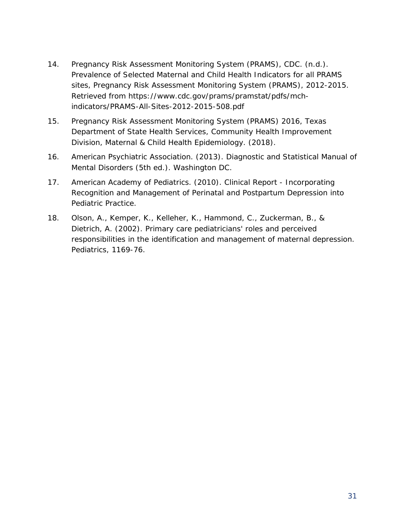- 14. Pregnancy Risk Assessment Monitoring System (PRAMS), CDC. (n.d.). *Prevalence of Selected Maternal and Child Health Indicators for all PRAMS sites, Pregnancy Risk Assessment Monitoring System (PRAMS), 2012-2015.* Retrieved from https://www.cdc.gov/prams/pramstat/pdfs/mchindicators/PRAMS-All-Sites-2012-2015-508.pdf
- 15. Pregnancy Risk Assessment Monitoring System (PRAMS) 2016, Texas Department of State Health Services, Community Health Improvement Division, Maternal & Child Health Epidemiology. (2018).
- 16. American Psychiatric Association. (2013). *Diagnostic and Statistical Manual of Mental Disorders (5th ed.).* Washington DC.
- 17. American Academy of Pediatrics. (2010). Clinical Report Incorporating Recognition and Management of Perinatal and Postpartum Depression into Pediatric Practice.
- 18. Olson, A., Kemper, K., Kelleher, K., Hammond, C., Zuckerman, B., & Dietrich, A. (2002). Primary care pediatricians' roles and perceived responsibilities in the identification and management of maternal depression. Pediatrics, 1169-76.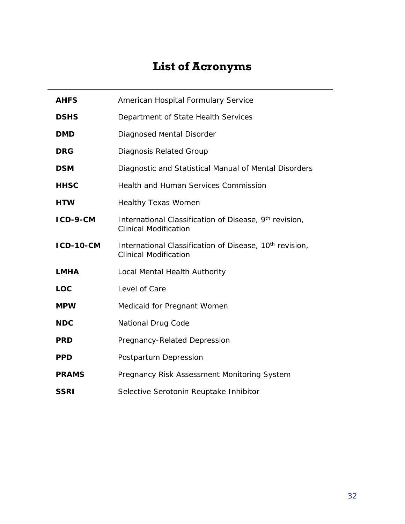# **List of Acronyms**

<span id="page-31-0"></span>

| <b>AHFS</b>      | American Hospital Formulary Service                                                                 |
|------------------|-----------------------------------------------------------------------------------------------------|
| <b>DSHS</b>      | Department of State Health Services                                                                 |
| <b>DMD</b>       | Diagnosed Mental Disorder                                                                           |
| <b>DRG</b>       | Diagnosis Related Group                                                                             |
| <b>DSM</b>       | Diagnostic and Statistical Manual of Mental Disorders                                               |
| <b>HHSC</b>      | Health and Human Services Commission                                                                |
| <b>HTW</b>       | <b>Healthy Texas Women</b>                                                                          |
| ICD-9-CM         | International Classification of Disease, 9th revision,<br><b>Clinical Modification</b>              |
| <b>ICD-10-CM</b> | International Classification of Disease, 10 <sup>th</sup> revision,<br><b>Clinical Modification</b> |
| <b>LMHA</b>      | Local Mental Health Authority                                                                       |
| <b>LOC</b>       | Level of Care                                                                                       |
| <b>MPW</b>       | Medicaid for Pregnant Women                                                                         |
| <b>NDC</b>       | <b>National Drug Code</b>                                                                           |
| <b>PRD</b>       | Pregnancy-Related Depression                                                                        |
| <b>PPD</b>       | Postpartum Depression                                                                               |
| <b>PRAMS</b>     | Pregnancy Risk Assessment Monitoring System                                                         |
| <b>SSRI</b>      | Selective Serotonin Reuptake Inhibitor                                                              |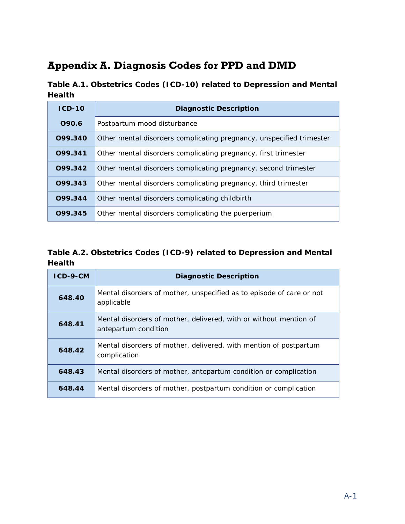# <span id="page-32-0"></span>**Appendix A. Diagnosis Codes for PPD and DMD**

**Table A.1. Obstetrics Codes (ICD-10) related to Depression and Mental Health**

| $ICD-10$ | <b>Diagnostic Description</b>                                        |  |  |  |  |
|----------|----------------------------------------------------------------------|--|--|--|--|
| 090.6    | Postpartum mood disturbance                                          |  |  |  |  |
| 099.340  | Other mental disorders complicating pregnancy, unspecified trimester |  |  |  |  |
| 099.341  | Other mental disorders complicating pregnancy, first trimester       |  |  |  |  |
| 099.342  | Other mental disorders complicating pregnancy, second trimester      |  |  |  |  |
| 099.343  | Other mental disorders complicating pregnancy, third trimester       |  |  |  |  |
| 099.344  | Other mental disorders complicating childbirth                       |  |  |  |  |
| 099.345  | Other mental disorders complicating the puerperium                   |  |  |  |  |

#### **Table A.2. Obstetrics Codes (ICD-9) related to Depression and Mental Health**

| $ICD-9-CM$ | <b>Diagnostic Description</b>                                                             |  |  |  |  |
|------------|-------------------------------------------------------------------------------------------|--|--|--|--|
| 648.40     | Mental disorders of mother, unspecified as to episode of care or not<br>applicable        |  |  |  |  |
| 648.41     | Mental disorders of mother, delivered, with or without mention of<br>antepartum condition |  |  |  |  |
| 648.42     | Mental disorders of mother, delivered, with mention of postpartum<br>complication         |  |  |  |  |
| 648.43     | Mental disorders of mother, antepartum condition or complication                          |  |  |  |  |
| 648.44     | Mental disorders of mother, postpartum condition or complication                          |  |  |  |  |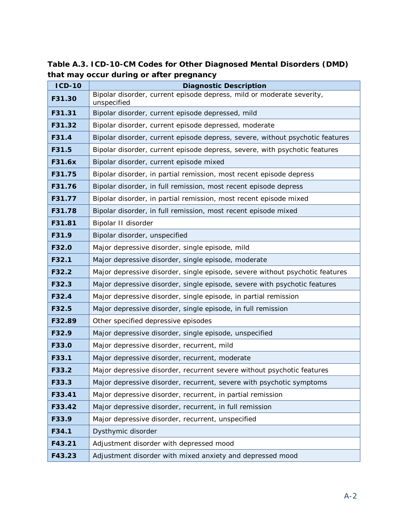**Table A.3. ICD-10-CM Codes for Other Diagnosed Mental Disorders (DMD) that may occur during or after pregnancy**

| <b>ICD-10</b> | <b>Diagnostic Description</b>                                                        |
|---------------|--------------------------------------------------------------------------------------|
| F31.30        | Bipolar disorder, current episode depress, mild or moderate severity,<br>unspecified |
| F31.31        | Bipolar disorder, current episode depressed, mild                                    |
| F31.32        | Bipolar disorder, current episode depressed, moderate                                |
| F31.4         | Bipolar disorder, current episode depress, severe, without psychotic features        |
| F31.5         | Bipolar disorder, current episode depress, severe, with psychotic features           |
| F31.6x        | Bipolar disorder, current episode mixed                                              |
| F31.75        | Bipolar disorder, in partial remission, most recent episode depress                  |
| F31.76        | Bipolar disorder, in full remission, most recent episode depress                     |
| F31.77        | Bipolar disorder, in partial remission, most recent episode mixed                    |
| F31.78        | Bipolar disorder, in full remission, most recent episode mixed                       |
| F31.81        | Bipolar II disorder                                                                  |
| F31.9         | Bipolar disorder, unspecified                                                        |
| F32.0         | Major depressive disorder, single episode, mild                                      |
| F32.1         | Major depressive disorder, single episode, moderate                                  |
| F32.2         | Major depressive disorder, single episode, severe without psychotic features         |
| F32.3         | Major depressive disorder, single episode, severe with psychotic features            |
| F32.4         | Major depressive disorder, single episode, in partial remission                      |
| F32.5         | Major depressive disorder, single episode, in full remission                         |
| F32.89        | Other specified depressive episodes                                                  |
| F32.9         | Major depressive disorder, single episode, unspecified                               |
| F33.0         | Major depressive disorder, recurrent, mild                                           |
| F33.1         | Major depressive disorder, recurrent, moderate                                       |
| F33.2         | Major depressive disorder, recurrent severe without psychotic features               |
| F33.3         | Major depressive disorder, recurrent, severe with psychotic symptoms                 |
| F33.41        | Major depressive disorder, recurrent, in partial remission                           |
| F33.42        | Major depressive disorder, recurrent, in full remission                              |
| F33.9         | Major depressive disorder, recurrent, unspecified                                    |
| F34.1         | Dysthymic disorder                                                                   |
| F43.21        | Adjustment disorder with depressed mood                                              |
| F43.23        | Adjustment disorder with mixed anxiety and depressed mood                            |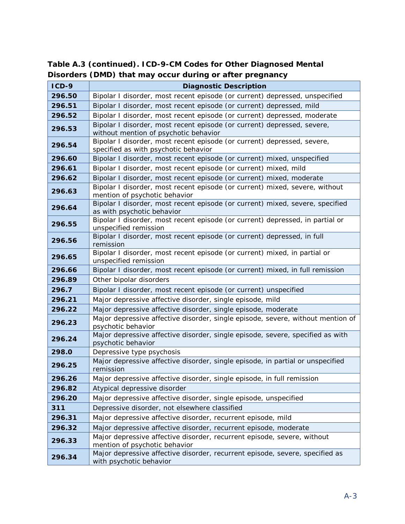| $ICD-9$ | <b>Diagnostic Description</b>                                                                                    |  |  |  |  |  |
|---------|------------------------------------------------------------------------------------------------------------------|--|--|--|--|--|
| 296.50  | Bipolar I disorder, most recent episode (or current) depressed, unspecified                                      |  |  |  |  |  |
| 296.51  | Bipolar I disorder, most recent episode (or current) depressed, mild                                             |  |  |  |  |  |
| 296.52  | Bipolar I disorder, most recent episode (or current) depressed, moderate                                         |  |  |  |  |  |
| 296.53  | Bipolar I disorder, most recent episode (or current) depressed, severe,<br>without mention of psychotic behavior |  |  |  |  |  |
| 296.54  | Bipolar I disorder, most recent episode (or current) depressed, severe,<br>specified as with psychotic behavior  |  |  |  |  |  |
| 296.60  | Bipolar I disorder, most recent episode (or current) mixed, unspecified                                          |  |  |  |  |  |
| 296.61  | Bipolar I disorder, most recent episode (or current) mixed, mild                                                 |  |  |  |  |  |
| 296.62  | Bipolar I disorder, most recent episode (or current) mixed, moderate                                             |  |  |  |  |  |
| 296.63  | Bipolar I disorder, most recent episode (or current) mixed, severe, without<br>mention of psychotic behavior     |  |  |  |  |  |
| 296.64  | Bipolar I disorder, most recent episode (or current) mixed, severe, specified<br>as with psychotic behavior      |  |  |  |  |  |
| 296.55  | Bipolar I disorder, most recent episode (or current) depressed, in partial or<br>unspecified remission           |  |  |  |  |  |
| 296.56  | Bipolar I disorder, most recent episode (or current) depressed, in full<br>remission                             |  |  |  |  |  |
| 296.65  | Bipolar I disorder, most recent episode (or current) mixed, in partial or<br>unspecified remission               |  |  |  |  |  |
| 296.66  | Bipolar I disorder, most recent episode (or current) mixed, in full remission                                    |  |  |  |  |  |
| 296.89  | Other bipolar disorders                                                                                          |  |  |  |  |  |
| 296.7   | Bipolar I disorder, most recent episode (or current) unspecified                                                 |  |  |  |  |  |
| 296.21  | Major depressive affective disorder, single episode, mild                                                        |  |  |  |  |  |
| 296.22  | Major depressive affective disorder, single episode, moderate                                                    |  |  |  |  |  |
| 296.23  | Major depressive affective disorder, single episode, severe, without mention of<br>psychotic behavior            |  |  |  |  |  |
| 296.24  | Major depressive affective disorder, single episode, severe, specified as with<br>psychotic behavior             |  |  |  |  |  |
| 298.0   | Depressive type psychosis                                                                                        |  |  |  |  |  |
| 296.25  | Major depressive affective disorder, single episode, in partial or unspecified<br>remission                      |  |  |  |  |  |
| 296.26  | Major depressive affective disorder, single episode, in full remission                                           |  |  |  |  |  |
| 296.82  | Atypical depressive disorder                                                                                     |  |  |  |  |  |
| 296.20  | Major depressive affective disorder, single episode, unspecified                                                 |  |  |  |  |  |
| 311     | Depressive disorder, not elsewhere classified                                                                    |  |  |  |  |  |
| 296.31  | Major depressive affective disorder, recurrent episode, mild                                                     |  |  |  |  |  |
| 296.32  | Major depressive affective disorder, recurrent episode, moderate                                                 |  |  |  |  |  |
| 296.33  | Major depressive affective disorder, recurrent episode, severe, without<br>mention of psychotic behavior         |  |  |  |  |  |
| 296.34  | Major depressive affective disorder, recurrent episode, severe, specified as<br>with psychotic behavior          |  |  |  |  |  |

**Table A.3 (continued). ICD-9-CM Codes for Other Diagnosed Mental Disorders (DMD) that may occur during or after pregnancy**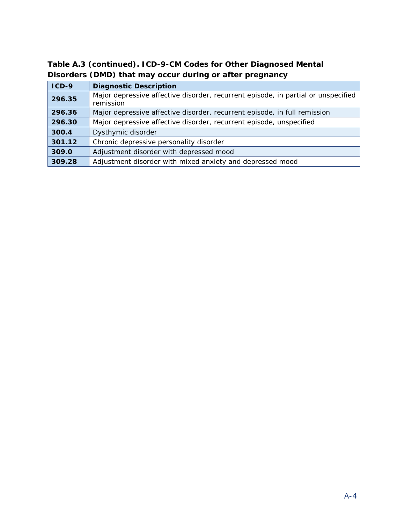| $ICD-9$ | <b>Diagnostic Description</b>                                                                  |
|---------|------------------------------------------------------------------------------------------------|
| 296.35  | Major depressive affective disorder, recurrent episode, in partial or unspecified<br>remission |
| 296.36  | Major depressive affective disorder, recurrent episode, in full remission                      |
| 296.30  | Major depressive affective disorder, recurrent episode, unspecified                            |
| 300.4   | Dysthymic disorder                                                                             |
| 301.12  | Chronic depressive personality disorder                                                        |
| 309.0   | Adjustment disorder with depressed mood                                                        |
| 309.28  | Adjustment disorder with mixed anxiety and depressed mood                                      |

**Table A.3 (continued). ICD-9-CM Codes for Other Diagnosed Mental Disorders (DMD) that may occur during or after pregnancy**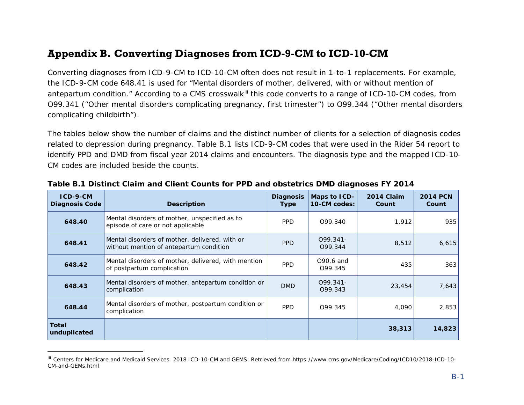### <span id="page-36-1"></span>**Appendix B. Converting Diagnoses from ICD-9-CM to ICD-10-CM**

Converting diagnoses from ICD-9-CM to ICD-10-CM often does not result in 1-to-1 replacements. For example, the ICD-9-CM code 648.41 is used for "Mental disorders of mother, delivered, with or without mention of antepartum condition." According to a CMS crosswalk<sup>[iii](#page-36-1)</sup> this code converts to a range of ICD-10-CM codes, from O99.341 ("Other mental disorders complicating pregnancy, first trimester") to O99.344 ("Other mental disorders complicating childbirth").

The tables below show the number of claims and the distinct number of clients for a selection of diagnosis codes related to depression during pregnancy. Table B.1 lists ICD-9-CM codes that were used in the Rider 54 report to identify PPD and DMD from fiscal year 2014 claims and encounters. The diagnosis type and the mapped ICD-10-CM codes are included beside the counts.

| $ICD-9-CM$<br><b>Diagnosis Code</b> | <b>Description</b>                                                                        | <b>Diagnosis</b><br><b>Type</b> | Maps to ICD-<br>10-CM codes: | 2014 Claim<br>Count | <b>2014 PCN</b><br>Count |
|-------------------------------------|-------------------------------------------------------------------------------------------|---------------------------------|------------------------------|---------------------|--------------------------|
| 648.40                              | Mental disorders of mother, unspecified as to<br>episode of care or not applicable        | <b>PPD</b>                      | 099.340                      | 1,912               | 935                      |
| 648.41                              | Mental disorders of mother, delivered, with or<br>without mention of antepartum condition | PP <sub>D</sub>                 | $099.341 -$<br>099.344       | 8,512               | 6,615                    |
| 648.42                              | Mental disorders of mother, delivered, with mention<br>of postpartum complication         | <b>PPD</b>                      | 090.6 and<br>099.345         | 435                 | 363                      |
| 648.43                              | Mental disorders of mother, antepartum condition or<br>complication                       | <b>DMD</b>                      | $099.341 -$<br>099.343       | 23,454              | 7,643                    |
| 648.44                              | Mental disorders of mother, postpartum condition or<br>complication                       | <b>PPD</b>                      | 099.345                      | 4,090               | 2,853                    |
| <b>Total</b><br>unduplicated        |                                                                                           |                                 |                              | 38,313              | 14,823                   |

#### <span id="page-36-0"></span>**Table B.1 Distinct Claim and Client Counts for PPD and obstetrics DMD diagnoses FY 2014**

1

iii Centers for Medicare and Medicaid Services. 2018 ICD-10-CM and GEMS. Retrieved from https://www.cms.gov/Medicare/Coding/ICD10/2018-ICD-10- CM-and-GEMs.html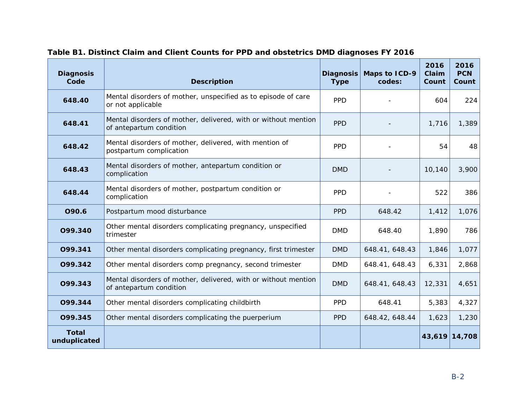| <b>Diagnosis</b><br>Code     | <b>Description</b>                                                                        | <b>Diagnosis</b><br><b>Type</b> | Maps to ICD-9<br>codes: | 2016<br>Claim<br>Count | 2016<br><b>PCN</b><br>Count |
|------------------------------|-------------------------------------------------------------------------------------------|---------------------------------|-------------------------|------------------------|-----------------------------|
| 648.40                       | Mental disorders of mother, unspecified as to episode of care<br>or not applicable        | <b>PPD</b>                      |                         | 604                    | 224                         |
| 648.41                       | Mental disorders of mother, delivered, with or without mention<br>of antepartum condition | <b>PPD</b>                      |                         | 1,716                  | 1,389                       |
| 648.42                       | Mental disorders of mother, delivered, with mention of<br>postpartum complication         | <b>PPD</b>                      |                         | 54                     | 48                          |
| 648.43                       | Mental disorders of mother, antepartum condition or<br>complication                       | <b>DMD</b>                      |                         | 10,140                 | 3,900                       |
| 648.44                       | Mental disorders of mother, postpartum condition or<br>complication                       | <b>PPD</b>                      |                         | 522                    | 386                         |
| O90.6                        | Postpartum mood disturbance                                                               | <b>PPD</b>                      | 648.42                  | 1,412                  | 1,076                       |
| 099.340                      | Other mental disorders complicating pregnancy, unspecified<br>trimester                   | <b>DMD</b>                      | 648.40                  | 1,890                  | 786                         |
| 099.341                      | Other mental disorders complicating pregnancy, first trimester                            | <b>DMD</b>                      | 648.41, 648.43          | 1,846                  | 1,077                       |
| 099.342                      | Other mental disorders comp pregnancy, second trimester                                   | <b>DMD</b>                      | 648.41, 648.43          | 6,331                  | 2,868                       |
| 099.343                      | Mental disorders of mother, delivered, with or without mention<br>of antepartum condition | <b>DMD</b>                      | 648.41, 648.43          | 12,331                 | 4,651                       |
| 099.344                      | Other mental disorders complicating childbirth                                            | <b>PPD</b>                      | 648.41                  | 5,383                  | 4,327                       |
| 099.345                      | Other mental disorders complicating the puerperium                                        | <b>PPD</b>                      | 648.42, 648.44          | 1,623                  | 1,230                       |
| <b>Total</b><br>unduplicated |                                                                                           |                                 |                         | 43,619                 | 14,708                      |

#### **Table B1. Distinct Claim and Client Counts for PPD and obstetrics DMD diagnoses FY 2016**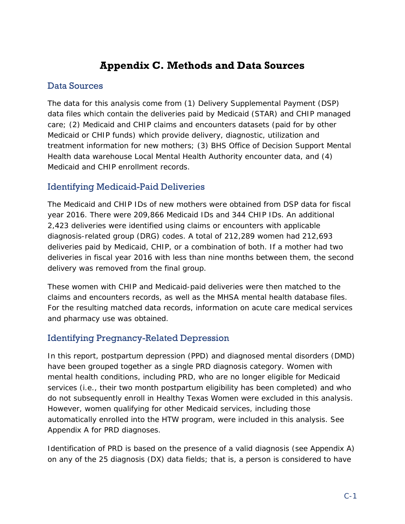# **Appendix C. Methods and Data Sources**

### <span id="page-38-0"></span>Data Sources

The data for this analysis come from (1) Delivery Supplemental Payment (DSP) data files which contain the deliveries paid by Medicaid (STAR) and CHIP managed care; (2) Medicaid and CHIP claims and encounters datasets (paid for by other Medicaid or CHIP funds) which provide delivery, diagnostic, utilization and treatment information for new mothers; (3) BHS Office of Decision Support Mental Health data warehouse Local Mental Health Authority encounter data, and (4) Medicaid and CHIP enrollment records.

### Identifying Medicaid-Paid Deliveries

The Medicaid and CHIP IDs of new mothers were obtained from DSP data for fiscal year 2016. There were 209,866 Medicaid IDs and 344 CHIP IDs. An additional 2,423 deliveries were identified using claims or encounters with applicable diagnosis-related group (DRG) codes. A total of 212,289 women had 212,693 deliveries paid by Medicaid, CHIP, or a combination of both. If a mother had two deliveries in fiscal year 2016 with less than nine months between them, the second delivery was removed from the final group.

These women with CHIP and Medicaid-paid deliveries were then matched to the claims and encounters records, as well as the MHSA mental health database files. For the resulting matched data records, information on acute care medical services and pharmacy use was obtained.

### Identifying Pregnancy-Related Depression

In this report, postpartum depression (PPD) and diagnosed mental disorders (DMD) have been grouped together as a single PRD diagnosis category. Women with mental health conditions, including PRD, who are no longer eligible for Medicaid services (i.e., their two month postpartum eligibility has been completed) and who do not subsequently enroll in Healthy Texas Women were excluded in this analysis. However, women qualifying for other Medicaid services, including those automatically enrolled into the HTW program, were included in this analysis. See Appendix A for PRD diagnoses.

Identification of PRD is based on the presence of a valid diagnosis (see Appendix A) on any of the 25 diagnosis (DX) data fields; that is, a person is considered to have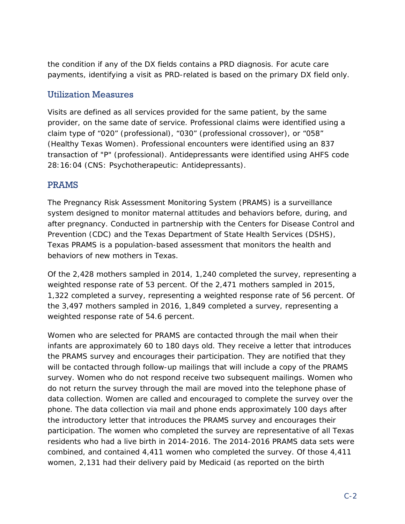the condition if any of the DX fields contains a PRD diagnosis. For acute care payments, identifying a visit as PRD-related is based on the primary DX field only.

#### Utilization Measures

Visits are defined as all services provided for the same patient, by the same provider, on the same date of service. Professional claims were identified using a claim type of "020" (professional), "030" (professional crossover), or "058" (Healthy Texas Women). Professional encounters were identified using an 837 transaction of "P" (professional). Antidepressants were identified using AHFS code 28:16:04 (CNS: Psychotherapeutic: Antidepressants).

#### PRAMS

The Pregnancy Risk Assessment Monitoring System (PRAMS) is a surveillance system designed to monitor maternal attitudes and behaviors before, during, and after pregnancy. Conducted in partnership with the Centers for Disease Control and Prevention (CDC) and the Texas Department of State Health Services (DSHS), Texas PRAMS is a population-based assessment that monitors the health and behaviors of new mothers in Texas.

Of the 2,428 mothers sampled in 2014, 1,240 completed the survey, representing a weighted response rate of 53 percent. Of the 2,471 mothers sampled in 2015, 1,322 completed a survey, representing a weighted response rate of 56 percent. Of the 3,497 mothers sampled in 2016, 1,849 completed a survey, representing a weighted response rate of 54.6 percent.

Women who are selected for PRAMS are contacted through the mail when their infants are approximately 60 to 180 days old. They receive a letter that introduces the PRAMS survey and encourages their participation. They are notified that they will be contacted through follow-up mailings that will include a copy of the PRAMS survey. Women who do not respond receive two subsequent mailings. Women who do not return the survey through the mail are moved into the telephone phase of data collection. Women are called and encouraged to complete the survey over the phone. The data collection via mail and phone ends approximately 100 days after the introductory letter that introduces the PRAMS survey and encourages their participation. The women who completed the survey are representative of all Texas residents who had a live birth in 2014-2016. The 2014-2016 PRAMS data sets were combined, and contained 4,411 women who completed the survey. Of those 4,411 women, 2,131 had their delivery paid by Medicaid (as reported on the birth